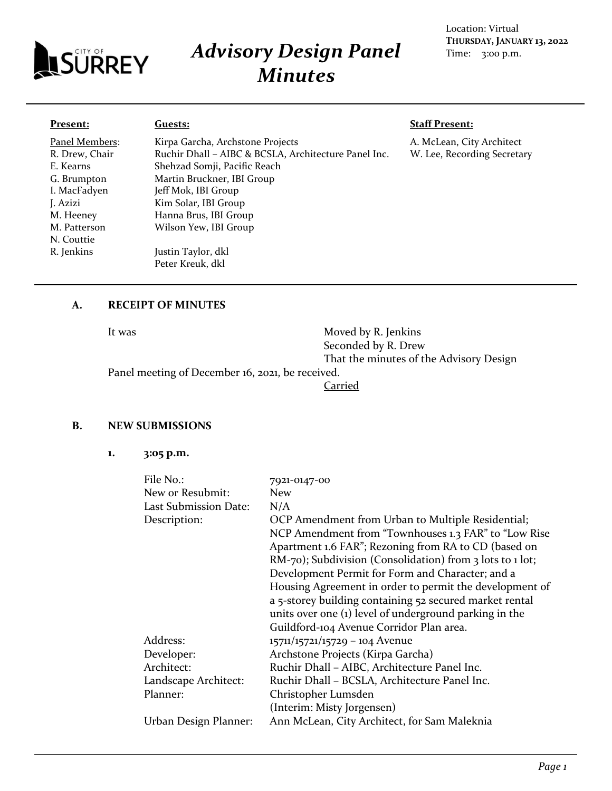

# *Advisory Design Panel Minutes*

#### Location: Virtual **THURSDAY, JANUARY 13, 2022** Time: 3:00 p.m.

#### **Present:**

Panel Members: R. Drew, Chair E. Kearns G. Brumpton I. MacFadyen J. Azizi M. Heeney M. Patterson N. Couttie R. Jenkins

# Kirpa Garcha, Archstone Projects Ruchir Dhall – AIBC & BCSLA, Architecture Panel Inc. Shehzad Somji, Pacific Reach Martin Bruckner, IBI Group Jeff Mok, IBI Group Kim Solar, IBI Group Hanna Brus, IBI Group Wilson Yew, IBI Group Justin Taylor, dkl Peter Kreuk, dkl

#### **Staff Present:**

A. McLean, City Architect W. Lee, Recording Secretary

## **A. RECEIPT OF MINUTES**

**Guests:**

It was Moved by R. Jenkins Seconded by R. Drew That the minutes of the Advisory Design

Panel meeting of December 16, 2021, be received.

Carried

#### **B. NEW SUBMISSIONS**

**1. 3:05 p.m.**

| File No.:             | 7921-0147-00                                                          |
|-----------------------|-----------------------------------------------------------------------|
| New or Resubmit:      | <b>New</b>                                                            |
| Last Submission Date: | N/A                                                                   |
| Description:          | OCP Amendment from Urban to Multiple Residential;                     |
|                       | NCP Amendment from "Townhouses 1.3 FAR" to "Low Rise                  |
|                       | Apartment 1.6 FAR"; Rezoning from RA to CD (based on                  |
|                       | RM-70); Subdivision (Consolidation) from $\frac{1}{2}$ lots to 1 lot; |
|                       | Development Permit for Form and Character; and a                      |
|                       | Housing Agreement in order to permit the development of               |
|                       | a 5-storey building containing 52 secured market rental               |
|                       | units over one (1) level of underground parking in the                |
|                       | Guildford-104 Avenue Corridor Plan area.                              |
| Address:              | 15711/15721/15729 - 104 Avenue                                        |
| Developer:            | Archstone Projects (Kirpa Garcha)                                     |
| Architect:            | Ruchir Dhall - AIBC, Architecture Panel Inc.                          |
| Landscape Architect:  | Ruchir Dhall – BCSLA, Architecture Panel Inc.                         |
| Planner:              | Christopher Lumsden                                                   |
|                       | (Interim: Misty Jorgensen)                                            |
| Urban Design Planner: | Ann McLean, City Architect, for Sam Maleknia                          |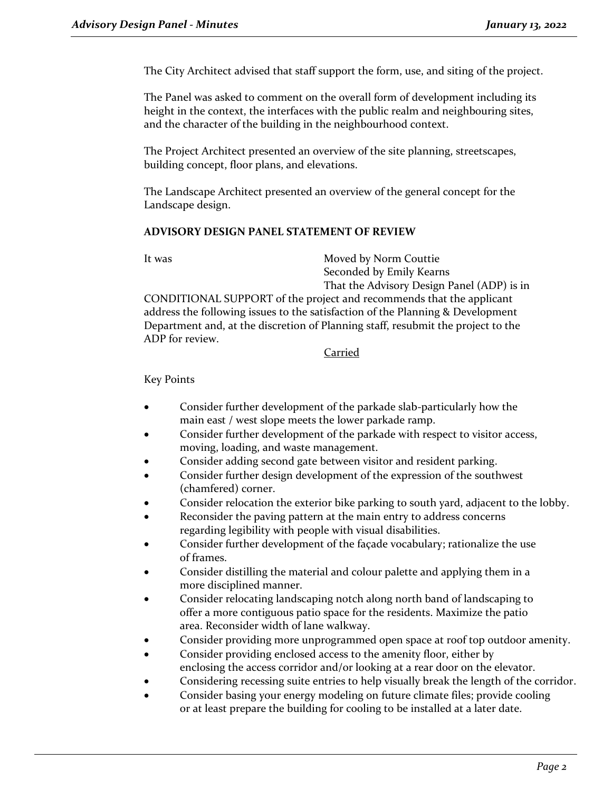The City Architect advised that staff support the form, use, and siting of the project.

The Panel was asked to comment on the overall form of development including its height in the context, the interfaces with the public realm and neighbouring sites, and the character of the building in the neighbourhood context.

The Project Architect presented an overview of the site planning, streetscapes, building concept, floor plans, and elevations.

The Landscape Architect presented an overview of the general concept for the Landscape design.

#### **ADVISORY DESIGN PANEL STATEMENT OF REVIEW**

It was Moved by Norm Couttie Seconded by Emily Kearns That the Advisory Design Panel (ADP) is in

CONDITIONAL SUPPORT of the project and recommends that the applicant address the following issues to the satisfaction of the Planning & Development Department and, at the discretion of Planning staff, resubmit the project to the ADP for review.

#### Carried

Key Points

- Consider further development of the parkade slab-particularly how the main east / west slope meets the lower parkade ramp.
- Consider further development of the parkade with respect to visitor access, moving, loading, and waste management.
- Consider adding second gate between visitor and resident parking.
- Consider further design development of the expression of the southwest (chamfered) corner.
- Consider relocation the exterior bike parking to south yard, adjacent to the lobby.
- Reconsider the paving pattern at the main entry to address concerns regarding legibility with people with visual disabilities.
- Consider further development of the façade vocabulary; rationalize the use of frames.
- Consider distilling the material and colour palette and applying them in a more disciplined manner.
- Consider relocating landscaping notch along north band of landscaping to offer a more contiguous patio space for the residents. Maximize the patio area. Reconsider width of lane walkway.
- Consider providing more unprogrammed open space at roof top outdoor amenity.
- Consider providing enclosed access to the amenity floor, either by enclosing the access corridor and/or looking at a rear door on the elevator.
- Considering recessing suite entries to help visually break the length of the corridor.
- Consider basing your energy modeling on future climate files; provide cooling or at least prepare the building for cooling to be installed at a later date.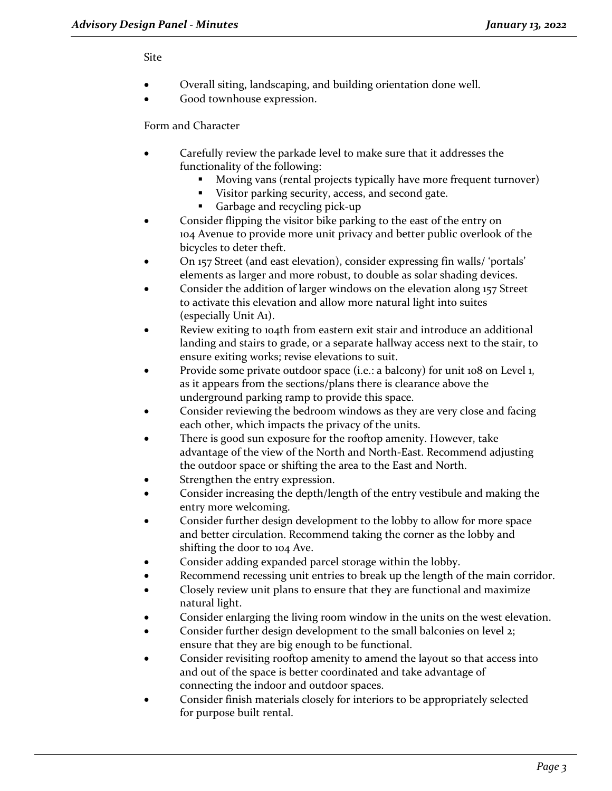#### Site

- Overall siting, landscaping, and building orientation done well.
- Good townhouse expression.

Form and Character

- Carefully review the parkade level to make sure that it addresses the functionality of the following:
	- Moving vans (rental projects typically have more frequent turnover)
	- Visitor parking security, access, and second gate.
	- Garbage and recycling pick-up
- Consider flipping the visitor bike parking to the east of the entry on 104 Avenue to provide more unit privacy and better public overlook of the bicycles to deter theft.
- On 157 Street (and east elevation), consider expressing fin walls/ 'portals' elements as larger and more robust, to double as solar shading devices.
- Consider the addition of larger windows on the elevation along 157 Street to activate this elevation and allow more natural light into suites (especially Unit A1).
- Review exiting to 104th from eastern exit stair and introduce an additional landing and stairs to grade, or a separate hallway access next to the stair, to ensure exiting works; revise elevations to suit.
- Provide some private outdoor space (i.e.: a balcony) for unit 108 on Level 1, as it appears from the sections/plans there is clearance above the underground parking ramp to provide this space.
- Consider reviewing the bedroom windows as they are very close and facing each other, which impacts the privacy of the units.
- There is good sun exposure for the rooftop amenity. However, take advantage of the view of the North and North-East. Recommend adjusting the outdoor space or shifting the area to the East and North.
- Strengthen the entry expression.
- Consider increasing the depth/length of the entry vestibule and making the entry more welcoming.
- Consider further design development to the lobby to allow for more space and better circulation. Recommend taking the corner as the lobby and shifting the door to 104 Ave.
- Consider adding expanded parcel storage within the lobby.
- Recommend recessing unit entries to break up the length of the main corridor.
- Closely review unit plans to ensure that they are functional and maximize natural light.
- Consider enlarging the living room window in the units on the west elevation.
- Consider further design development to the small balconies on level 2; ensure that they are big enough to be functional.
- Consider revisiting rooftop amenity to amend the layout so that access into and out of the space is better coordinated and take advantage of connecting the indoor and outdoor spaces.
- Consider finish materials closely for interiors to be appropriately selected for purpose built rental.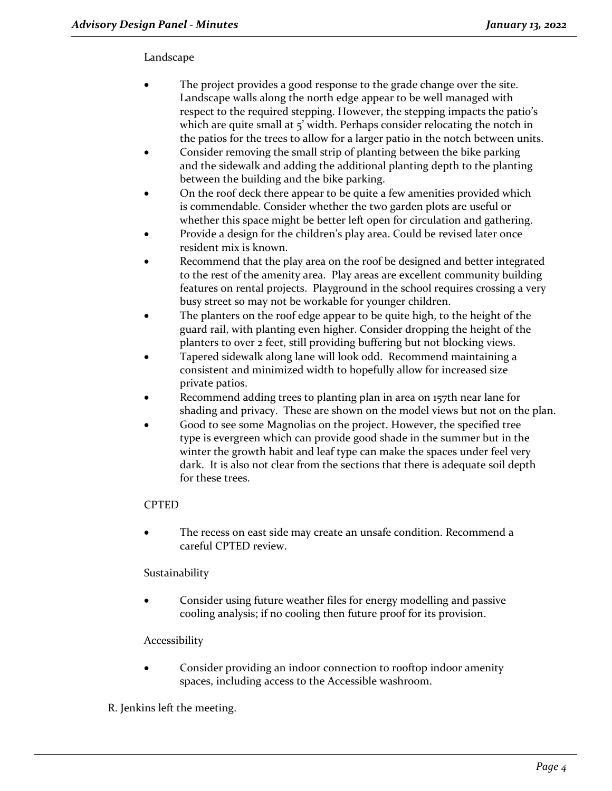# Landscape

- The project provides a good response to the grade change over the site. Landscape walls along the north edge appear to be well managed with respect to the required stepping. However, the stepping impacts the patio's which are quite small at 5' width. Perhaps consider relocating the notch in the patios for the trees to allow for a larger patio in the notch between units.
- Consider removing the small strip of planting between the bike parking and the sidewalk and adding the additional planting depth to the planting between the building and the bike parking.
- On the roof deck there appear to be quite a few amenities provided which is commendable. Consider whether the two garden plots are useful or whether this space might be better left open for circulation and gathering.
- Provide a design for the children's play area. Could be revised later once resident mix is known.
- Recommend that the play area on the roof be designed and better integrated to the rest of the amenity area. Play areas are excellent community building features on rental projects. Playground in the school requires crossing a very busy street so may not be workable for younger children.
- The planters on the roof edge appear to be quite high, to the height of the guard rail, with planting even higher. Consider dropping the height of the planters to over 2 feet, still providing buffering but not blocking views.
- Tapered sidewalk along lane will look odd. Recommend maintaining a consistent and minimized width to hopefully allow for increased size private patios.
- Recommend adding trees to planting plan in area on 157th near lane for shading and privacy. These are shown on the model views but not on the plan.
- Good to see some Magnolias on the project. However, the specified tree type is evergreen which can provide good shade in the summer but in the winter the growth habit and leaf type can make the spaces under feel very dark. It is also not clear from the sections that there is adequate soil depth for these trees.

# **CPTED**

The recess on east side may create an unsafe condition. Recommend a careful CPTED review.

# Sustainability

• Consider using future weather files for energy modelling and passive cooling analysis; if no cooling then future proof for its provision.

# Accessibility

Consider providing an indoor connection to rooftop indoor amenity spaces, including access to the Accessible washroom.

# R. Jenkins left the meeting.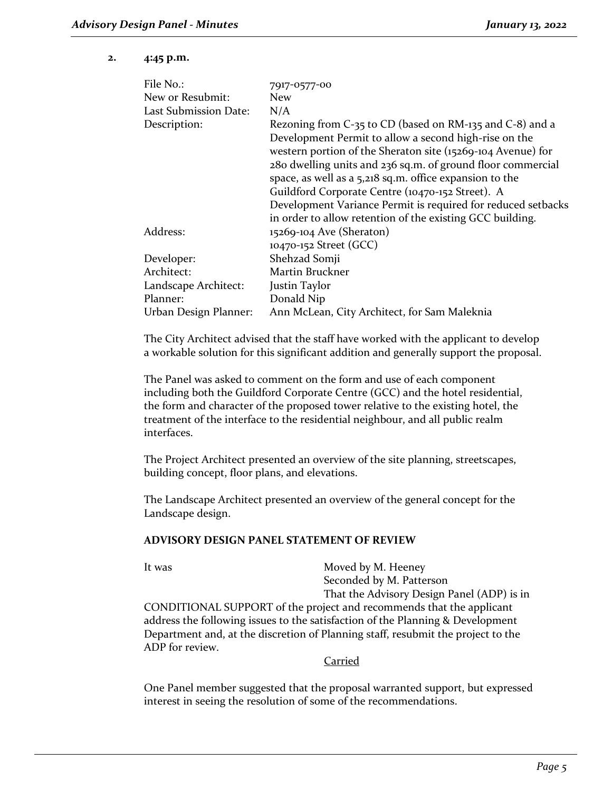#### **2. 4:45 p.m.**

| File No.:             | 7917-0577-00                                                 |
|-----------------------|--------------------------------------------------------------|
| New or Resubmit:      | <b>New</b>                                                   |
| Last Submission Date: | N/A                                                          |
| Description:          | Rezoning from C-35 to CD (based on RM-135 and C-8) and a     |
|                       | Development Permit to allow a second high-rise on the        |
|                       | western portion of the Sheraton site (15269-104 Avenue) for  |
|                       | 280 dwelling units and 236 sq.m. of ground floor commercial  |
|                       | space, as well as a 5,218 sq.m. office expansion to the      |
|                       | Guildford Corporate Centre (10470-152 Street). A             |
|                       | Development Variance Permit is required for reduced setbacks |
|                       | in order to allow retention of the existing GCC building.    |
| Address:              | 15269-104 Ave (Sheraton)                                     |
|                       | 10470-152 Street (GCC)                                       |
| Developer:            | Shehzad Somji                                                |
| Architect:            | Martin Bruckner                                              |
| Landscape Architect:  | Justin Taylor                                                |
| Planner:              | Donald Nip                                                   |
| Urban Design Planner: | Ann McLean, City Architect, for Sam Maleknia                 |

The City Architect advised that the staff have worked with the applicant to develop a workable solution for this significant addition and generally support the proposal.

The Panel was asked to comment on the form and use of each component including both the Guildford Corporate Centre (GCC) and the hotel residential, the form and character of the proposed tower relative to the existing hotel, the treatment of the interface to the residential neighbour, and all public realm interfaces.

The Project Architect presented an overview of the site planning, streetscapes, building concept, floor plans, and elevations.

The Landscape Architect presented an overview of the general concept for the Landscape design.

#### **ADVISORY DESIGN PANEL STATEMENT OF REVIEW**

It was Moved by M. Heeney Seconded by M. Patterson That the Advisory Design Panel (ADP) is in CONDITIONAL SUPPORT of the project and recommends that the applicant address the following issues to the satisfaction of the Planning & Development Department and, at the discretion of Planning staff, resubmit the project to the ADP for review.

#### Carried

One Panel member suggested that the proposal warranted support, but expressed interest in seeing the resolution of some of the recommendations.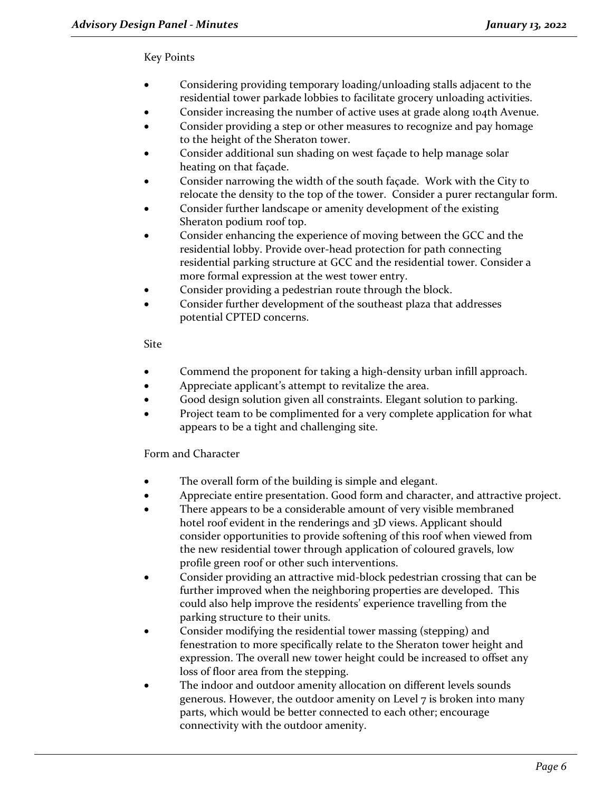# Key Points

- Considering providing temporary loading/unloading stalls adjacent to the residential tower parkade lobbies to facilitate grocery unloading activities.
- Consider increasing the number of active uses at grade along 104th Avenue.
- Consider providing a step or other measures to recognize and pay homage to the height of the Sheraton tower.
- Consider additional sun shading on west façade to help manage solar heating on that façade.
- Consider narrowing the width of the south façade. Work with the City to relocate the density to the top of the tower. Consider a purer rectangular form.
- Consider further landscape or amenity development of the existing Sheraton podium roof top.
- Consider enhancing the experience of moving between the GCC and the residential lobby. Provide over-head protection for path connecting residential parking structure at GCC and the residential tower. Consider a more formal expression at the west tower entry.
- Consider providing a pedestrian route through the block.
- Consider further development of the southeast plaza that addresses potential CPTED concerns.

# Site

- Commend the proponent for taking a high-density urban infill approach.
- Appreciate applicant's attempt to revitalize the area.
- Good design solution given all constraints. Elegant solution to parking.
- Project team to be complimented for a very complete application for what appears to be a tight and challenging site.

# Form and Character

- The overall form of the building is simple and elegant.
- Appreciate entire presentation. Good form and character, and attractive project.
- There appears to be a considerable amount of very visible membraned hotel roof evident in the renderings and 3D views. Applicant should consider opportunities to provide softening of this roof when viewed from the new residential tower through application of coloured gravels, low profile green roof or other such interventions.
- Consider providing an attractive mid-block pedestrian crossing that can be further improved when the neighboring properties are developed. This could also help improve the residents' experience travelling from the parking structure to their units.
- Consider modifying the residential tower massing (stepping) and fenestration to more specifically relate to the Sheraton tower height and expression. The overall new tower height could be increased to offset any loss of floor area from the stepping.
- The indoor and outdoor amenity allocation on different levels sounds generous. However, the outdoor amenity on Level 7 is broken into many parts, which would be better connected to each other; encourage connectivity with the outdoor amenity.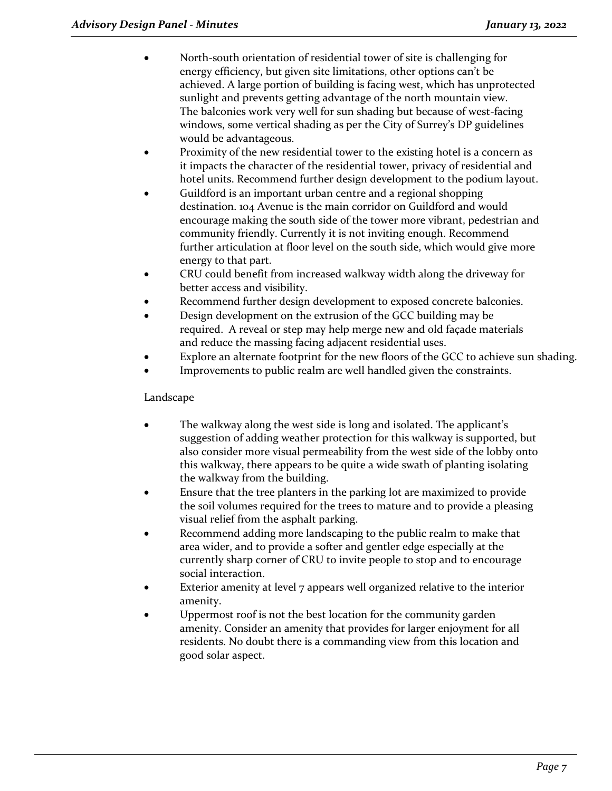- North-south orientation of residential tower of site is challenging for energy efficiency, but given site limitations, other options can't be achieved. A large portion of building is facing west, which has unprotected sunlight and prevents getting advantage of the north mountain view. The balconies work very well for sun shading but because of west-facing windows, some vertical shading as per the City of Surrey's DP guidelines would be advantageous.
- Proximity of the new residential tower to the existing hotel is a concern as it impacts the character of the residential tower, privacy of residential and hotel units. Recommend further design development to the podium layout.
- Guildford is an important urban centre and a regional shopping destination. 104 Avenue is the main corridor on Guildford and would encourage making the south side of the tower more vibrant, pedestrian and community friendly. Currently it is not inviting enough. Recommend further articulation at floor level on the south side, which would give more energy to that part.
- CRU could benefit from increased walkway width along the driveway for better access and visibility.
- Recommend further design development to exposed concrete balconies.
- Design development on the extrusion of the GCC building may be required. A reveal or step may help merge new and old façade materials and reduce the massing facing adjacent residential uses.
- Explore an alternate footprint for the new floors of the GCC to achieve sun shading.
- Improvements to public realm are well handled given the constraints.

# Landscape

- The walkway along the west side is long and isolated. The applicant's suggestion of adding weather protection for this walkway is supported, but also consider more visual permeability from the west side of the lobby onto this walkway, there appears to be quite a wide swath of planting isolating the walkway from the building.
- Ensure that the tree planters in the parking lot are maximized to provide the soil volumes required for the trees to mature and to provide a pleasing visual relief from the asphalt parking.
- Recommend adding more landscaping to the public realm to make that area wider, and to provide a softer and gentler edge especially at the currently sharp corner of CRU to invite people to stop and to encourage social interaction.
- Exterior amenity at level 7 appears well organized relative to the interior amenity.
- Uppermost roof is not the best location for the community garden amenity. Consider an amenity that provides for larger enjoyment for all residents. No doubt there is a commanding view from this location and good solar aspect.